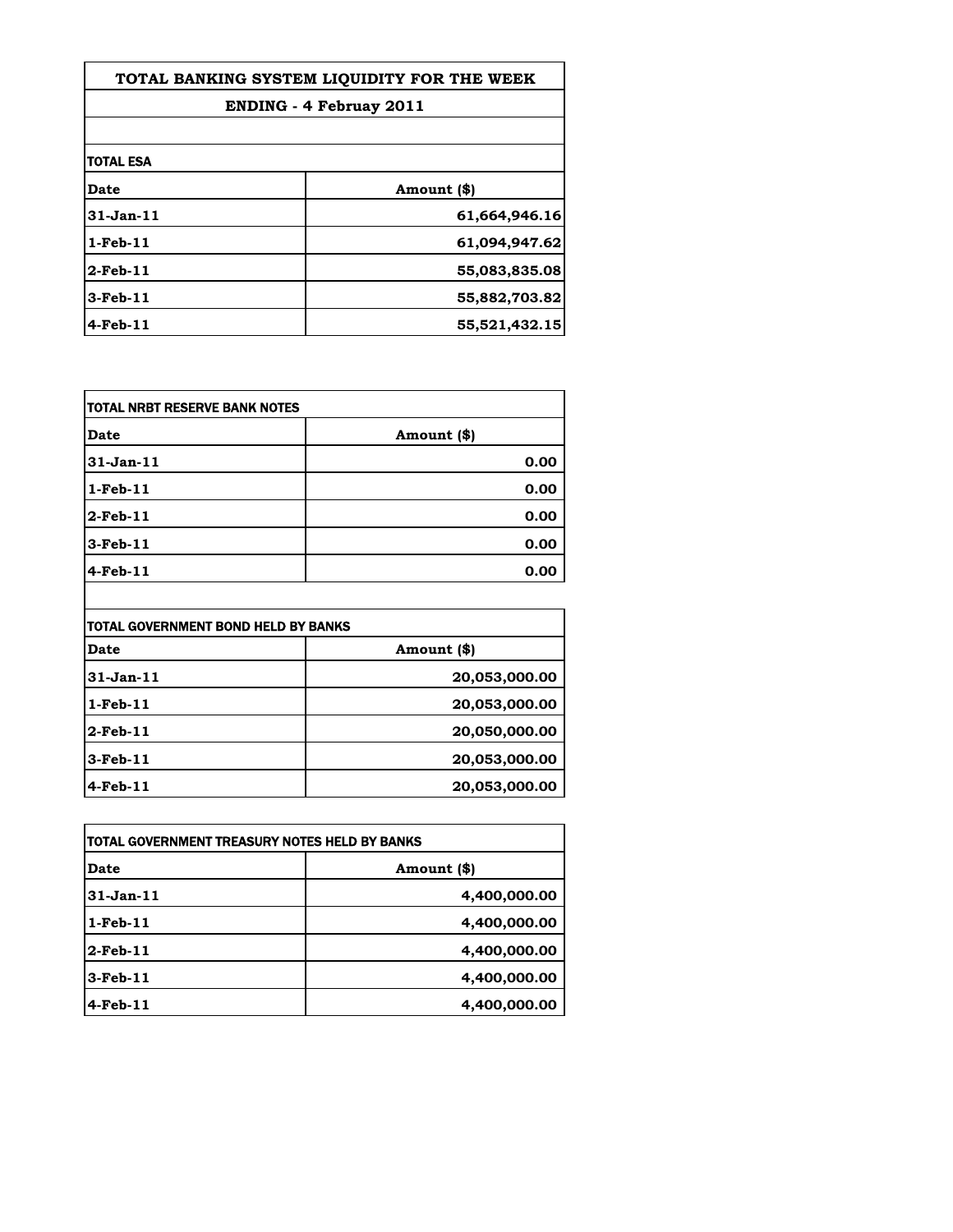| TOTAL BANKING SYSTEM LIQUIDITY FOR THE WEEK |               |
|---------------------------------------------|---------------|
| <b>ENDING - 4 Februay 2011</b>              |               |
|                                             |               |
| <b>TOTAL ESA</b>                            |               |
| <b>Date</b>                                 | Amount (\$)   |
| $31$ -Jan- $11$                             | 61,664,946.16 |
| $1$ -Feb- $11$                              | 61,094,947.62 |
| $2$ -Feb-11                                 | 55,083,835.08 |
| $3$ -Feb- $11$                              | 55,882,703.82 |
| $4$ -Feb- $11$                              | 55,521,432.15 |

| TOTAL NRBT RESERVE BANK NOTES |             |
|-------------------------------|-------------|
| Date                          | Amount (\$) |
| 31-Jan-11                     | 0.00        |
| $1-Feb-11$                    | 0.00        |
| $2$ -Feb-11                   | 0.00        |
| $3$ -Feb-11                   | 0.00        |
| $4$ -Feb-11                   | 0.00        |

| itotal Government Bond Held by Banks |               |
|--------------------------------------|---------------|
| Date                                 | Amount (\$)   |
| 31-Jan-11                            | 20,053,000.00 |
| 1 - Feb - 11                         | 20,053,000.00 |
| 2-Feb-11                             | 20,050,000.00 |
| $3$ -Feb- $11$                       | 20,053,000.00 |
| 4-Feb-11                             | 20,053,000.00 |

| itotal government treasury notes held by banks |              |
|------------------------------------------------|--------------|
| Date                                           | Amount (\$)  |
| 31-Jan-11                                      | 4,400,000.00 |
| $1$ -Feb- $11$                                 | 4,400,000.00 |
| 2-Feb-11                                       | 4,400,000.00 |
| 3-Feb-11                                       | 4,400,000.00 |
| $4$ -Feb-11                                    | 4,400,000.00 |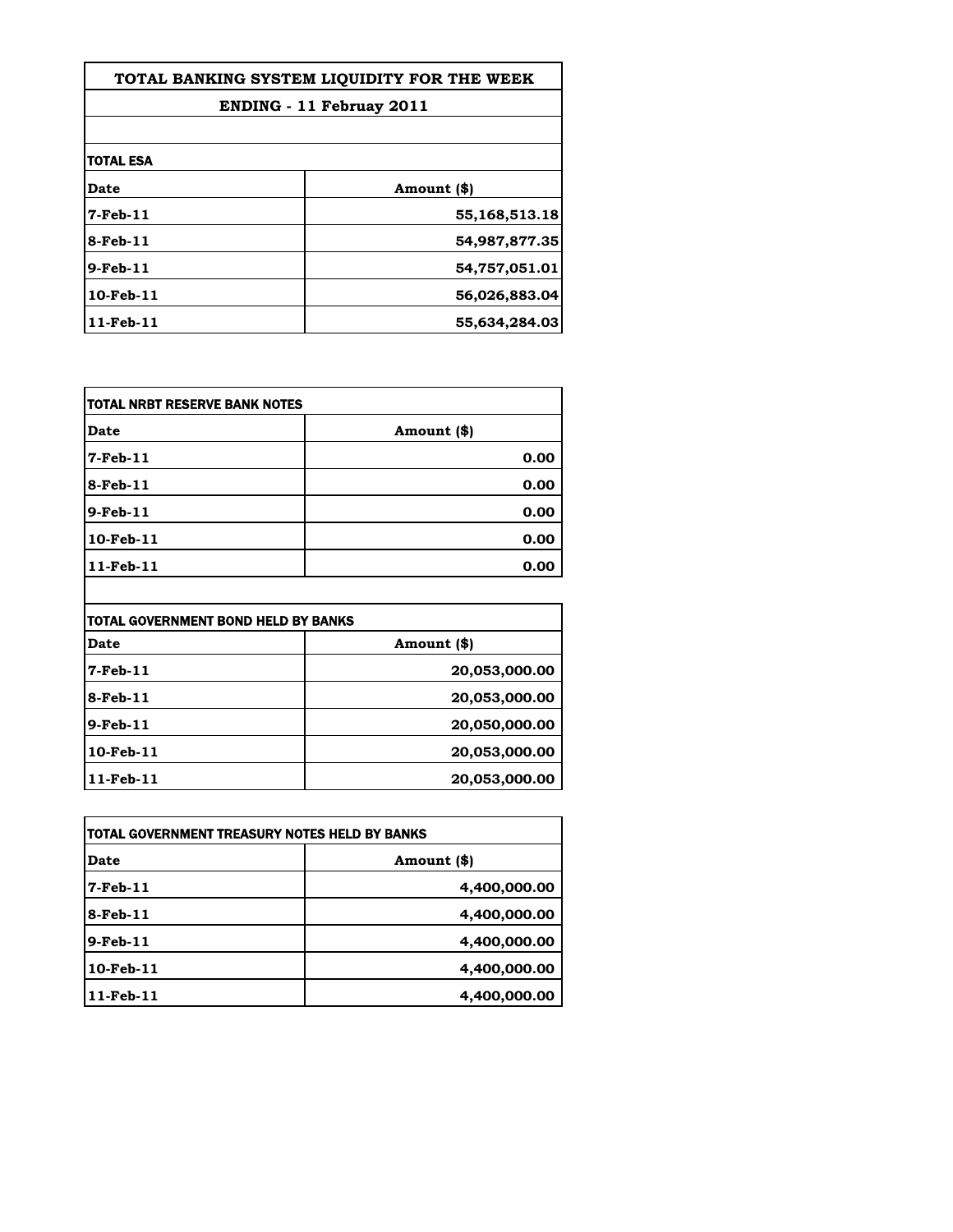| TOTAL BANKING SYSTEM LIOUIDITY FOR THE WEEK |               |
|---------------------------------------------|---------------|
| <b>ENDING - 11 Februay 2011</b>             |               |
|                                             |               |
| <b>TOTAL ESA</b>                            |               |
| Date                                        | Amount (\$)   |
| 7-Feb-11                                    | 55,168,513.18 |
| 8-Feb-11                                    | 54,987,877.35 |
| 9-Feb-11                                    | 54,757,051.01 |
| $10$ -Feb $-11$                             | 56,026,883.04 |
| 11-Feb-11                                   | 55,634,284.03 |

| <b>TOTAL NRBT RESERVE BANK NOTES</b> |             |
|--------------------------------------|-------------|
| Date                                 | Amount (\$) |
| $7$ -Feb-11                          | 0.00        |
| $8$ -Feb-11                          | 0.00        |
| $9$ -Feb-11                          | 0.00        |
| 10-Feb-11                            | 0.00        |
| $11$ -Feb-11                         | 0.00        |

| TOTAL GOVERNMENT BOND HELD BY BANKS |               |
|-------------------------------------|---------------|
| Date                                | Amount (\$)   |
| $7$ -Feb-11                         | 20,053,000.00 |
| 8-Feb-11                            | 20,053,000.00 |
| $9$ -Feb- $11$                      | 20,050,000.00 |
| $10$ -Feb- $11$                     | 20,053,000.00 |
| $11$ -Feb- $11$                     | 20,053,000.00 |

| TOTAL GOVERNMENT TREASURY NOTES HELD BY BANKS |              |
|-----------------------------------------------|--------------|
| Date                                          | Amount (\$)  |
| $7$ -Feb-11                                   | 4,400,000.00 |
| $8$ -Feb-11                                   | 4,400,000.00 |
| $9$ -Feb- $11$                                | 4,400,000.00 |
| $10$ -Feb- $11$                               | 4,400,000.00 |
| $11$ -Feb- $11$                               | 4,400,000.00 |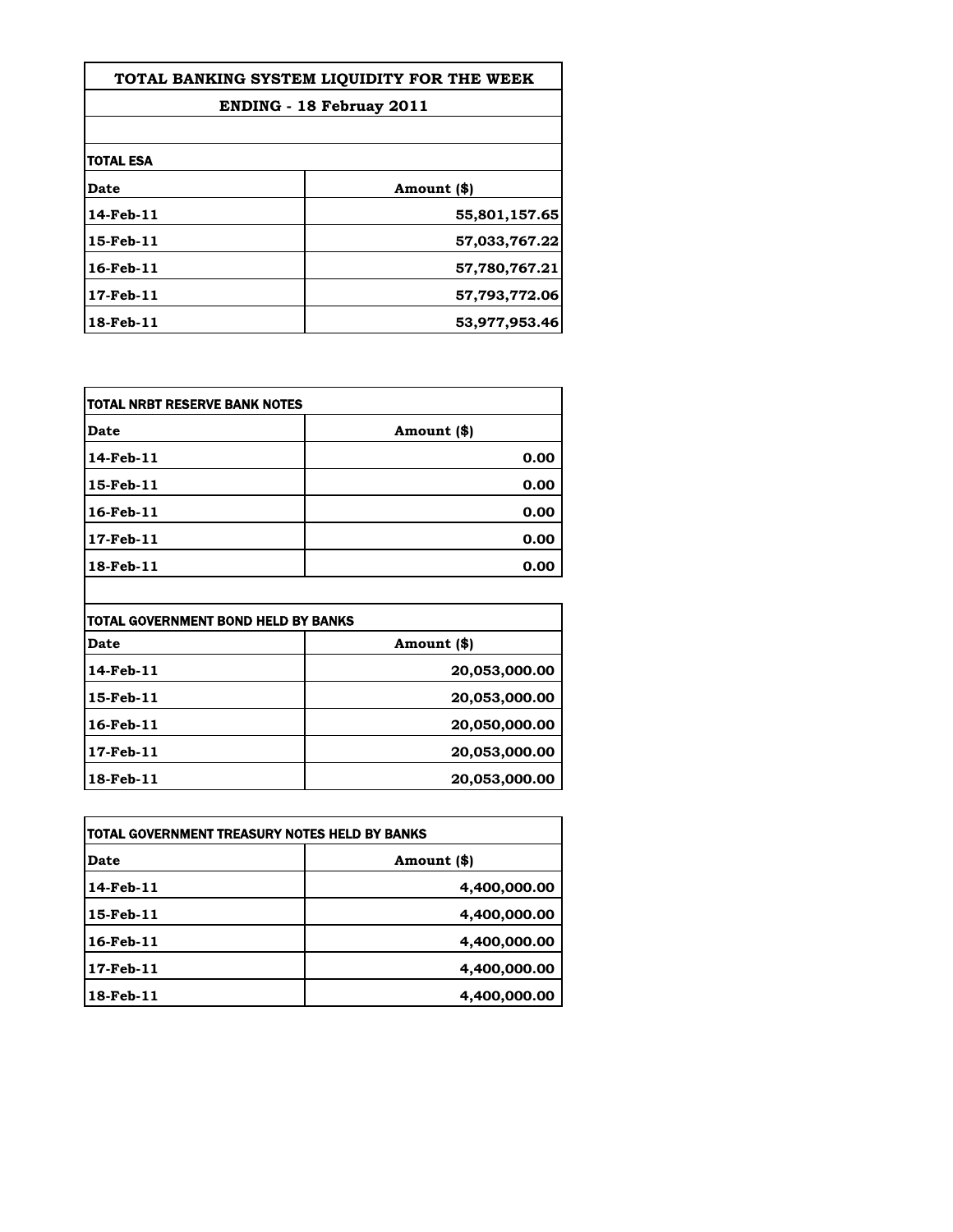| TOTAL BANKING SYSTEM LIOUIDITY FOR THE WEEK<br><b>ENDING - 18 Februay 2011</b> |               |
|--------------------------------------------------------------------------------|---------------|
|                                                                                |               |
| <b>TOTAL ESA</b>                                                               |               |
| Date                                                                           | Amount (\$)   |
| 14-Feb-11                                                                      | 55,801,157.65 |
| 15-Feb-11                                                                      | 57,033,767.22 |
| 16-Feb-11                                                                      | 57,780,767.21 |
| 17-Feb-11                                                                      | 57,793,772.06 |
| 18-Feb-11                                                                      | 53,977,953.46 |

| <b>TOTAL NRBT RESERVE BANK NOTES</b> |             |
|--------------------------------------|-------------|
| <b>Date</b>                          | Amount (\$) |
| 14-Feb-11                            | 0.00        |
| 15-Feb-11                            | 0.00        |
| $16$ -Feb- $11$                      | 0.00        |
| 17-Feb-11                            | 0.00        |
| 18-Feb-11                            | 0.00        |

| TOTAL GOVERNMENT BOND HELD BY BANKS |               |
|-------------------------------------|---------------|
| Date                                | Amount (\$)   |
| $14$ -Feb- $11$                     | 20,053,000.00 |
| 15-Feb-11                           | 20,053,000.00 |
| 16-Feb-11                           | 20,050,000.00 |
| $17$ -Feb $-11$                     | 20,053,000.00 |
| 18-Feb-11                           | 20,053,000.00 |

| TOTAL GOVERNMENT TREASURY NOTES HELD BY BANKS |              |
|-----------------------------------------------|--------------|
| Date                                          | Amount (\$)  |
| 14-Feb-11                                     | 4,400,000.00 |
| $15$ -Feb- $11$                               | 4,400,000.00 |
| 16-Feb-11                                     | 4,400,000.00 |
| $17$ -Feb- $11$                               | 4,400,000.00 |
| 18-Feb-11                                     | 4,400,000.00 |